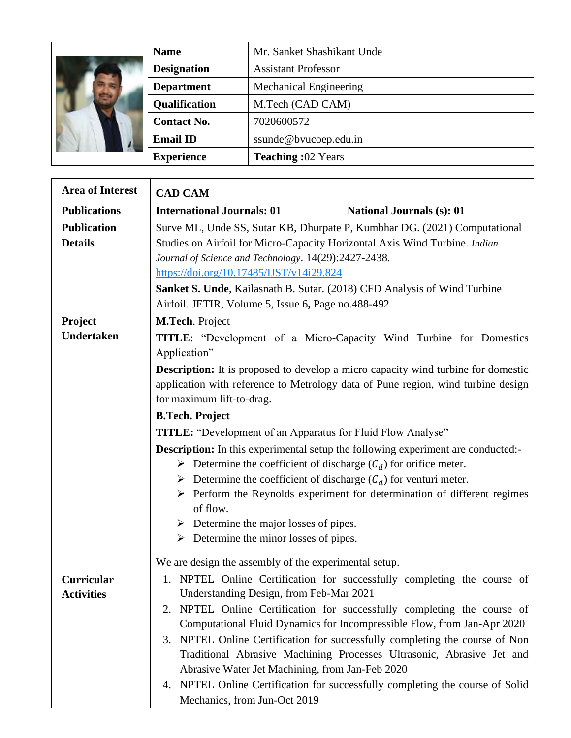|  | <b>Name</b>          | Mr. Sanket Shashikant Unde    |
|--|----------------------|-------------------------------|
|  | <b>Designation</b>   | <b>Assistant Professor</b>    |
|  | <b>Department</b>    | <b>Mechanical Engineering</b> |
|  | <b>Qualification</b> | M.Tech (CAD CAM)              |
|  | <b>Contact No.</b>   | 7020600572                    |
|  | <b>Email ID</b>      | ssunde@bvucoep.edu.in         |
|  | <b>Experience</b>    | <b>Teaching:02 Years</b>      |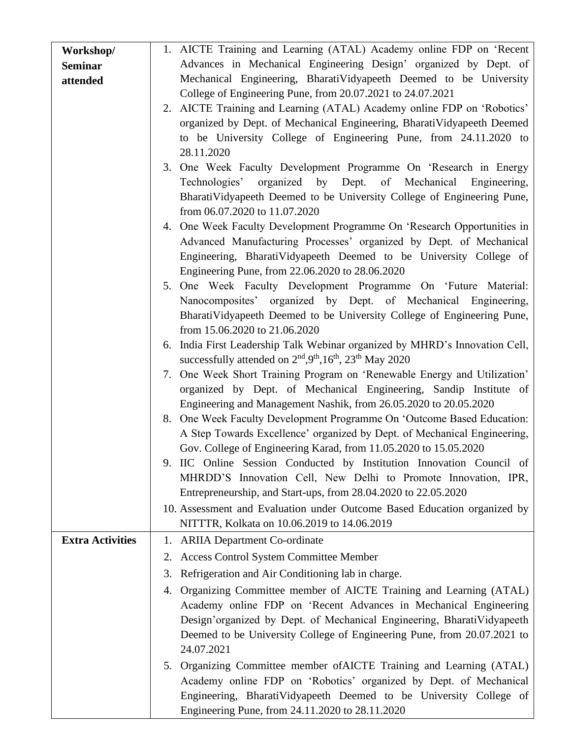| Workshop/               | 1. AICTE Training and Learning (ATAL) Academy online FDP on 'Recent         |
|-------------------------|-----------------------------------------------------------------------------|
| <b>Seminar</b>          | Advances in Mechanical Engineering Design' organized by Dept. of            |
| attended                | Mechanical Engineering, BharatiVidyapeeth Deemed to be University           |
|                         | College of Engineering Pune, from 20.07.2021 to 24.07.2021                  |
|                         | 2. AICTE Training and Learning (ATAL) Academy online FDP on 'Robotics'      |
|                         | organized by Dept. of Mechanical Engineering, BharatiVidyapeeth Deemed      |
|                         | to be University College of Engineering Pune, from 24.11.2020 to            |
|                         | 28.11.2020                                                                  |
|                         | 3. One Week Faculty Development Programme On 'Research in Energy            |
|                         | Technologies' organized by Dept. of Mechanical Engineering,                 |
|                         | BharatiVidyapeeth Deemed to be University College of Engineering Pune,      |
|                         | from 06.07.2020 to 11.07.2020                                               |
|                         | 4. One Week Faculty Development Programme On 'Research Opportunities in     |
|                         | Advanced Manufacturing Processes' organized by Dept. of Mechanical          |
|                         | Engineering, BharatiVidyapeeth Deemed to be University College of           |
|                         | Engineering Pune, from 22.06.2020 to 28.06.2020                             |
|                         | 5. One Week Faculty Development Programme On 'Future Material:              |
|                         | Nanocomposites' organized by Dept. of Mechanical Engineering,               |
|                         | BharatiVidyapeeth Deemed to be University College of Engineering Pune,      |
|                         | from 15.06.2020 to 21.06.2020                                               |
|                         | 6. India First Leadership Talk Webinar organized by MHRD's Innovation Cell, |
|                         | successfully attended on $2nd, 9th, 16th, 23th$ May 2020                    |
|                         | 7. One Week Short Training Program on 'Renewable Energy and Utilization'    |
|                         | organized by Dept. of Mechanical Engineering, Sandip Institute of           |
|                         | Engineering and Management Nashik, from 26.05.2020 to 20.05.2020            |
|                         | 8. One Week Faculty Development Programme On 'Outcome Based Education:      |
|                         | A Step Towards Excellence' organized by Dept. of Mechanical Engineering,    |
|                         | Gov. College of Engineering Karad, from 11.05.2020 to 15.05.2020            |
|                         | 9. IIC Online Session Conducted by Institution Innovation Council of        |
|                         | MHRDD'S Innovation Cell, New Delhi to Promote Innovation, IPR,              |
|                         | Entrepreneurship, and Start-ups, from 28.04.2020 to 22.05.2020              |
|                         | 10. Assessment and Evaluation under Outcome Based Education organized by    |
|                         | NITTTR, Kolkata on 10.06.2019 to 14.06.2019                                 |
| <b>Extra Activities</b> | 1. ARIIA Department Co-ordinate                                             |
|                         | <b>Access Control System Committee Member</b><br>2.                         |
|                         | Refrigeration and Air Conditioning lab in charge.<br>3.                     |
|                         | Organizing Committee member of AICTE Training and Learning (ATAL)<br>4.     |
|                         | Academy online FDP on 'Recent Advances in Mechanical Engineering            |
|                         | Design'organized by Dept. of Mechanical Engineering, BharatiVidyapeeth      |
|                         | Deemed to be University College of Engineering Pune, from 20.07.2021 to     |
|                         | 24.07.2021                                                                  |
|                         | 5. Organizing Committee member of AICTE Training and Learning (ATAL)        |
|                         | Academy online FDP on 'Robotics' organized by Dept. of Mechanical           |
|                         | Engineering, BharatiVidyapeeth Deemed to be University College of           |
|                         | Engineering Pune, from 24.11.2020 to 28.11.2020                             |